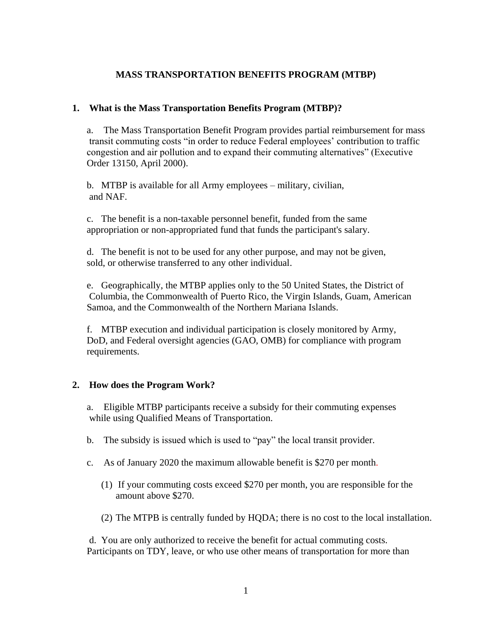### **MASS TRANSPORTATION BENEFITS PROGRAM (MTBP)**

### **1. What is the Mass Transportation Benefits Program (MTBP)?**

a. The Mass Transportation Benefit Program provides partial reimbursement for mass transit commuting costs "in order to reduce Federal employees' contribution to traffic congestion and air pollution and to expand their commuting alternatives" (Executive Order 13150, April 2000).

b. MTBP is available for all Army employees – military, civilian, and NAF.

c. The benefit is a non-taxable personnel benefit, funded from the same appropriation or non-appropriated fund that funds the participant's salary.

d. The benefit is not to be used for any other purpose, and may not be given, sold, or otherwise transferred to any other individual.

e. Geographically, the MTBP applies only to the 50 United States, the District of Columbia, the Commonwealth of Puerto Rico, the Virgin Islands, Guam, American Samoa, and the Commonwealth of the Northern Mariana Islands.

f. MTBP execution and individual participation is closely monitored by Army, DoD, and Federal oversight agencies (GAO, OMB) for compliance with program requirements.

#### **2. How does the Program Work?**

a. Eligible MTBP participants receive a subsidy for their commuting expenses while using Qualified Means of Transportation.

- b. The subsidy is issued which is used to "pay" the local transit provider.
- c. As of January 2020 the maximum allowable benefit is \$270 per month.
	- (1) If your commuting costs exceed \$270 per month, you are responsible for the amount above \$270.
	- (2) The MTPB is centrally funded by HQDA; there is no cost to the local installation.

 d. You are only authorized to receive the benefit for actual commuting costs. Participants on TDY, leave, or who use other means of transportation for more than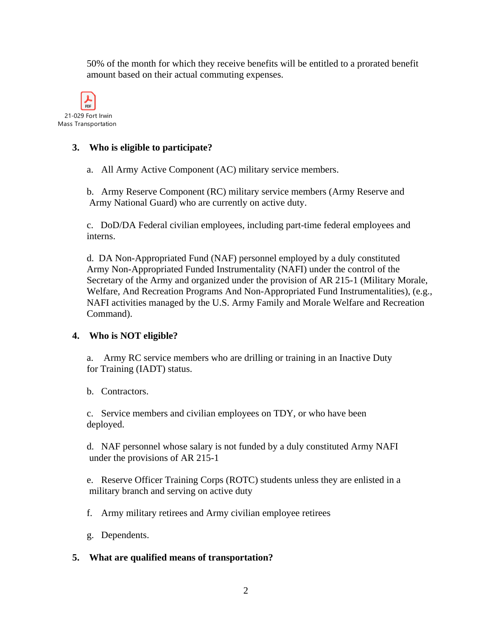50% of the month for which they receive benefits will be entitled to a prorated benefit amount based on their actual commuting expenses.



## **3. Who is eligible to participate?**

a. All Army Active Component (AC) military service members.

b. Army Reserve Component (RC) military service members (Army Reserve and Army National Guard) who are currently on active duty.

c. DoD/DA Federal civilian employees, including part-time federal employees and interns.

d. DA Non-Appropriated Fund (NAF) personnel employed by a duly constituted Army Non-Appropriated Funded Instrumentality (NAFI) under the control of the Secretary of the Army and organized under the provision of AR 215-1 (Military Morale, Welfare, And Recreation Programs And Non-Appropriated Fund Instrumentalities), (e.g., NAFI activities managed by the U.S. Army Family and Morale Welfare and Recreation Command).

# **4. Who is NOT eligible?**

a. Army RC service members who are drilling or training in an Inactive Duty for Training (IADT) status.

b. Contractors.

c. Service members and civilian employees on TDY, or who have been deployed.

d. NAF personnel whose salary is not funded by a duly constituted Army NAFI under the provisions of AR 215-1

e. Reserve Officer Training Corps (ROTC) students unless they are enlisted in a military branch and serving on active duty

f. Army military retirees and Army civilian employee retirees

g. Dependents.

#### **5. What are qualified means of transportation?**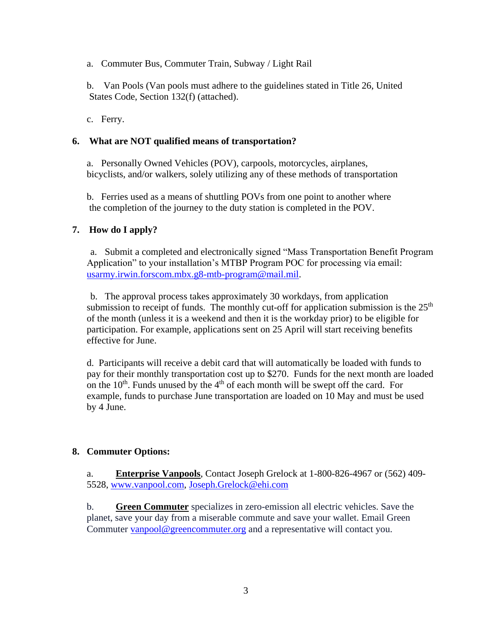a. Commuter Bus, Commuter Train, Subway / Light Rail

b. Van Pools (Van pools must adhere to the guidelines stated in Title 26, United States Code, Section 132(f) (attached).

c. Ferry.

## **6. What are NOT qualified means of transportation?**

a. Personally Owned Vehicles (POV), carpools, motorcycles, airplanes, bicyclists, and/or walkers, solely utilizing any of these methods of transportation

b. Ferries used as a means of shuttling POVs from one point to another where the completion of the journey to the duty station is completed in the POV.

# **7. How do I apply?**

a. Submit a completed and electronically signed "Mass Transportation Benefit Program Application" to your installation's MTBP Program POC for processing via email: [usarmy.irwin.forscom.mbx.g8-mtb-program@mail.mil.](mailto:usarmy.irwin.forscom.mbx.g8-mtb-program@mail.mil)

b. The approval process takes approximately 30 workdays, from application submission to receipt of funds. The monthly cut-off for application submission is the  $25<sup>th</sup>$ of the month (unless it is a weekend and then it is the workday prior) to be eligible for participation. For example, applications sent on 25 April will start receiving benefits effective for June.

d. Participants will receive a debit card that will automatically be loaded with funds to pay for their monthly transportation cost up to \$270. Funds for the next month are loaded on the  $10<sup>th</sup>$ . Funds unused by the  $4<sup>th</sup>$  of each month will be swept off the card. For example, funds to purchase June transportation are loaded on 10 May and must be used by 4 June.

# **8. Commuter Options:**

a. **Enterprise Vanpools**, Contact Joseph Grelock at 1-800-826-4967 or (562) 409- 5528, [www.vanpool.com,](http://www.vanpool.com/) [Joseph.Grelock@ehi.com](mailto:Joseph.Grelock@ehi.com)

b. **[Green Commuter](http://greencommuter.org/)** specializes in zero-emission all electric vehicles. Save the planet, save your day from a miserable commute and save your wallet. Email Green Commuter [vanpool@greencommuter.org](mailto:vanpool@greencommuter.org) and a representative will contact you.